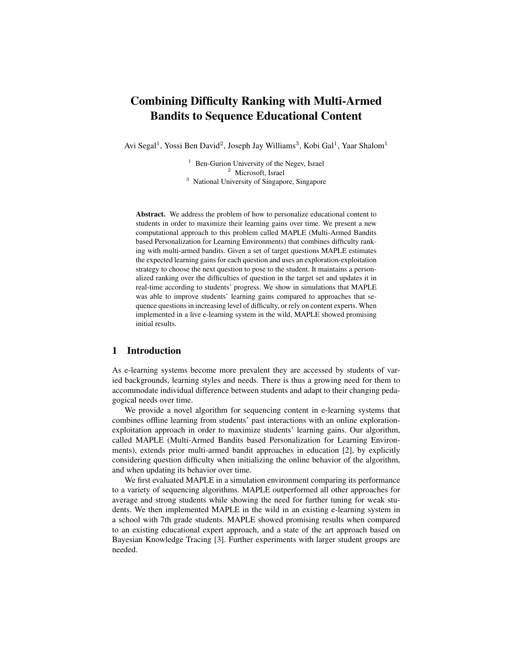# Combining Difficulty Ranking with Multi-Armed Bandits to Sequence Educational Content

Avi Segal<sup>1</sup>, Yossi Ben David<sup>2</sup>, Joseph Jay Williams<sup>3</sup>, Kobi Gal<sup>1</sup>, Yaar Shalom<sup>1</sup>

<sup>1</sup> Ben-Gurion University of the Negev, Israel <sup>2</sup> Microsoft, Israel

<sup>3</sup> National University of Singapore, Singapore

Abstract. We address the problem of how to personalize educational content to students in order to maximize their learning gains over time. We present a new computational approach to this problem called MAPLE (Multi-Armed Bandits based Personalization for Learning Environments) that combines difficulty ranking with multi-armed bandits. Given a set of target questions MAPLE estimates the expected learning gains for each question and uses an exploration-exploitation strategy to choose the next question to pose to the student. It maintains a personalized ranking over the difficulties of question in the target set and updates it in real-time according to students' progress. We show in simulations that MAPLE was able to improve students' learning gains compared to approaches that sequence questions in increasing level of difficulty, or rely on content experts. When implemented in a live e-learning system in the wild, MAPLE showed promising initial results.

#### 1 Introduction

As e-learning systems become more prevalent they are accessed by students of varied backgrounds, learning styles and needs. There is thus a growing need for them to accommodate individual difference between students and adapt to their changing pedagogical needs over time.

We provide a novel algorithm for sequencing content in e-learning systems that combines offline learning from students' past interactions with an online explorationexploitation approach in order to maximize students' learning gains. Our algorithm, called MAPLE (Multi-Armed Bandits based Personalization for Learning Environments), extends prior multi-armed bandit approaches in education [2], by explicitly considering question difficulty when initializing the online behavior of the algorithm, and when updating its behavior over time.

We first evaluated MAPLE in a simulation environment comparing its performance to a variety of sequencing algorithms. MAPLE outperformed all other approaches for average and strong students while showing the need for further tuning for weak students. We then implemented MAPLE in the wild in an existing e-learning system in a school with 7th grade students. MAPLE showed promising results when compared to an existing educational expert approach, and a state of the art approach based on Bayesian Knowledge Tracing [3]. Further experiments with larger student groups are needed.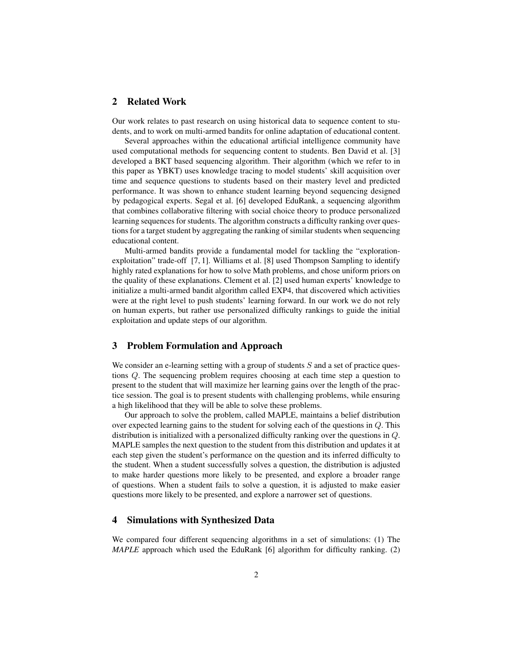## 2 Related Work

Our work relates to past research on using historical data to sequence content to students, and to work on multi-armed bandits for online adaptation of educational content.

Several approaches within the educational artificial intelligence community have used computational methods for sequencing content to students. Ben David et al. [3] developed a BKT based sequencing algorithm. Their algorithm (which we refer to in this paper as YBKT) uses knowledge tracing to model students' skill acquisition over time and sequence questions to students based on their mastery level and predicted performance. It was shown to enhance student learning beyond sequencing designed by pedagogical experts. Segal et al. [6] developed EduRank, a sequencing algorithm that combines collaborative filtering with social choice theory to produce personalized learning sequences for students. The algorithm constructs a difficulty ranking over questions for a target student by aggregating the ranking of similar students when sequencing educational content.

Multi-armed bandits provide a fundamental model for tackling the "explorationexploitation" trade-off [7, 1]. Williams et al. [8] used Thompson Sampling to identify highly rated explanations for how to solve Math problems, and chose uniform priors on the quality of these explanations. Clement et al. [2] used human experts' knowledge to initialize a multi-armed bandit algorithm called EXP4, that discovered which activities were at the right level to push students' learning forward. In our work we do not rely on human experts, but rather use personalized difficulty rankings to guide the initial exploitation and update steps of our algorithm.

## 3 Problem Formulation and Approach

We consider an e-learning setting with a group of students  $S$  and a set of practice questions Q. The sequencing problem requires choosing at each time step a question to present to the student that will maximize her learning gains over the length of the practice session. The goal is to present students with challenging problems, while ensuring a high likelihood that they will be able to solve these problems.

Our approach to solve the problem, called MAPLE, maintains a belief distribution over expected learning gains to the student for solving each of the questions in Q. This distribution is initialized with a personalized difficulty ranking over the questions in Q. MAPLE samples the next question to the student from this distribution and updates it at each step given the student's performance on the question and its inferred difficulty to the student. When a student successfully solves a question, the distribution is adjusted to make harder questions more likely to be presented, and explore a broader range of questions. When a student fails to solve a question, it is adjusted to make easier questions more likely to be presented, and explore a narrower set of questions.

## 4 Simulations with Synthesized Data

We compared four different sequencing algorithms in a set of simulations: (1) The *MAPLE* approach which used the EduRank [6] algorithm for difficulty ranking. (2)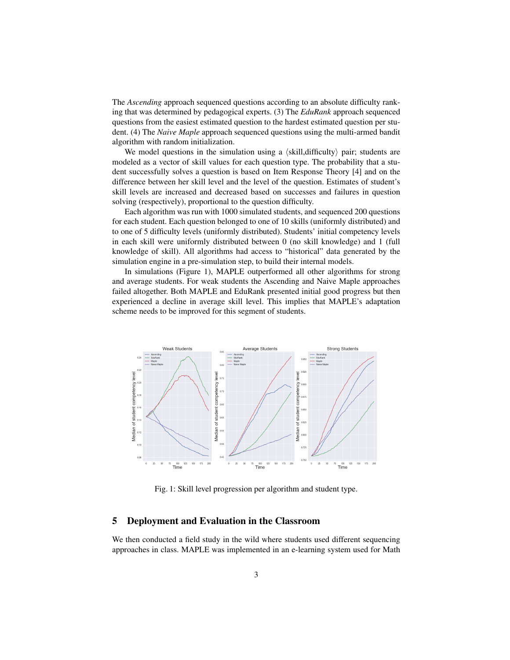The *Ascending* approach sequenced questions according to an absolute difficulty ranking that was determined by pedagogical experts. (3) The *EduRank* approach sequenced questions from the easiest estimated question to the hardest estimated question per student. (4) The *Naive Maple* approach sequenced questions using the multi-armed bandit algorithm with random initialization.

We model questions in the simulation using a  $\langle$ skill,difficulty $\rangle$  pair; students are modeled as a vector of skill values for each question type. The probability that a student successfully solves a question is based on Item Response Theory [4] and on the difference between her skill level and the level of the question. Estimates of student's skill levels are increased and decreased based on successes and failures in question solving (respectively), proportional to the question difficulty.

Each algorithm was run with 1000 simulated students, and sequenced 200 questions for each student. Each question belonged to one of 10 skills (uniformly distributed) and to one of 5 difficulty levels (uniformly distributed). Students' initial competency levels in each skill were uniformly distributed between 0 (no skill knowledge) and 1 (full knowledge of skill). All algorithms had access to "historical" data generated by the simulation engine in a pre-simulation step, to build their internal models.

In simulations (Figure 1), MAPLE outperformed all other algorithms for strong and average students. For weak students the Ascending and Naive Maple approaches failed altogether. Both MAPLE and EduRank presented initial good progress but then experienced a decline in average skill level. This implies that MAPLE's adaptation scheme needs to be improved for this segment of students.



Fig. 1: Skill level progression per algorithm and student type.

#### 5 Deployment and Evaluation in the Classroom

We then conducted a field study in the wild where students used different sequencing approaches in class. MAPLE was implemented in an e-learning system used for Math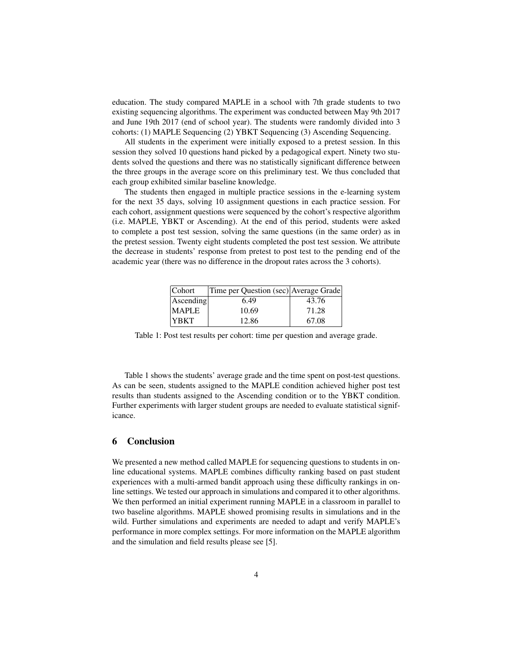education. The study compared MAPLE in a school with 7th grade students to two existing sequencing algorithms. The experiment was conducted between May 9th 2017 and June 19th 2017 (end of school year). The students were randomly divided into 3 cohorts: (1) MAPLE Sequencing (2) YBKT Sequencing (3) Ascending Sequencing.

All students in the experiment were initially exposed to a pretest session. In this session they solved 10 questions hand picked by a pedagogical expert. Ninety two students solved the questions and there was no statistically significant difference between the three groups in the average score on this preliminary test. We thus concluded that each group exhibited similar baseline knowledge.

The students then engaged in multiple practice sessions in the e-learning system for the next 35 days, solving 10 assignment questions in each practice session. For each cohort, assignment questions were sequenced by the cohort's respective algorithm (i.e. MAPLE, YBKT or Ascending). At the end of this period, students were asked to complete a post test session, solving the same questions (in the same order) as in the pretest session. Twenty eight students completed the post test session. We attribute the decrease in students' response from pretest to post test to the pending end of the academic year (there was no difference in the dropout rates across the 3 cohorts).

| Cohort            | Time per Question (sec) Average Grade |       |
|-------------------|---------------------------------------|-------|
| $ $ Ascending $ $ | 6.49                                  | 43.76 |
| <b>MAPLE</b>      | 10.69                                 | 71.28 |
| <b>IYBKT</b>      | 12.86                                 | 67.08 |

Table 1: Post test results per cohort: time per question and average grade.

Table 1 shows the students' average grade and the time spent on post-test questions. As can be seen, students assigned to the MAPLE condition achieved higher post test results than students assigned to the Ascending condition or to the YBKT condition. Further experiments with larger student groups are needed to evaluate statistical significance.

#### 6 Conclusion

We presented a new method called MAPLE for sequencing questions to students in online educational systems. MAPLE combines difficulty ranking based on past student experiences with a multi-armed bandit approach using these difficulty rankings in online settings. We tested our approach in simulations and compared it to other algorithms. We then performed an initial experiment running MAPLE in a classroom in parallel to two baseline algorithms. MAPLE showed promising results in simulations and in the wild. Further simulations and experiments are needed to adapt and verify MAPLE's performance in more complex settings. For more information on the MAPLE algorithm and the simulation and field results please see [5].